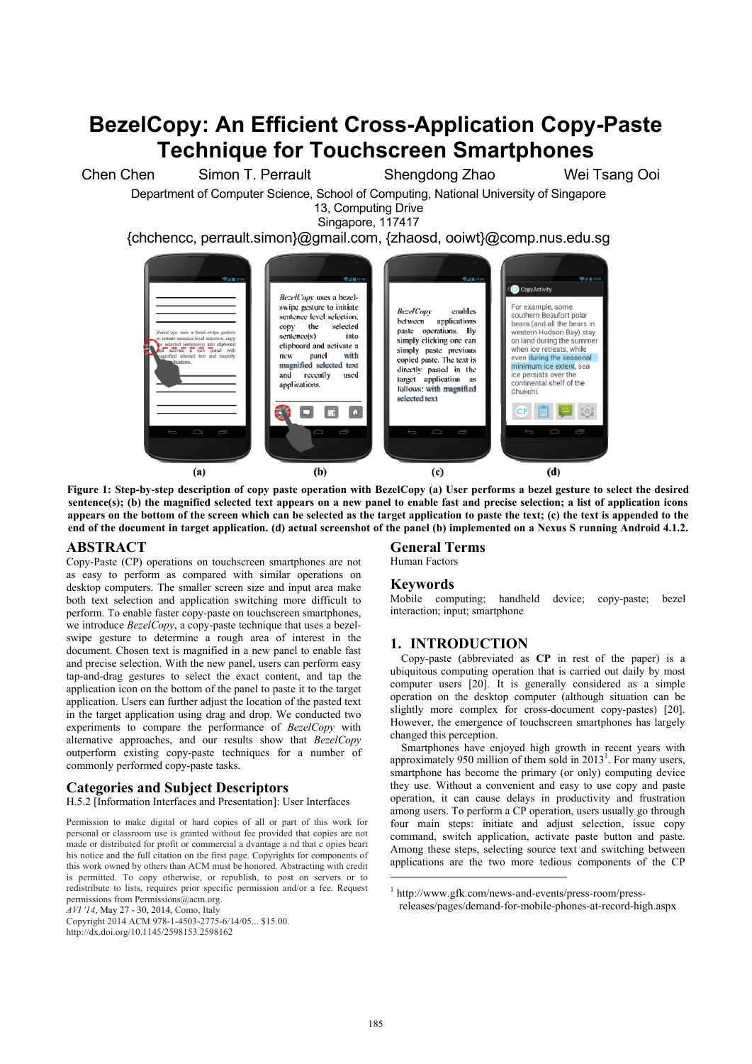# **BezelCopy: An Efficient Cross-Application Copy-Paste Technique for Touchscreen Smartphones**

Chen Chen Simon T. Perrault Shengdong Zhao Wei Tsang Ooi

Department of Computer Science, School of Computing, National University of Singapore 13, Computing Drive

Singapore, 117417

{chchencc, perrault.simon}@gmail.com, {zhaosd, ooiwt}@comp.nus.edu.sg



**Figure 1: Step-by-step description of copy paste operation with BezelCopy (a) User performs a bezel gesture to select the desired sentence(s); (b) the magnified selected text appears on a new panel to enable fast and precise selection; a list of application icons appears on the bottom of the screen which can be selected as the target application to paste the text; (c) the text is appended to the end of the document in target application. (d) actual screenshot of the panel (b) implemented on a Nexus S running Android 4.1.2.**

# **ABSTRACT**

Copy-Paste (CP) operations on touchscreen smartphones are not as easy to perform as compared with similar operations on desktop computers. The smaller screen size and input area make both text selection and application switching more difficult to perform. To enable faster copy-paste on touchscreen smartphones, we introduce *BezelCopy*, a copy-paste technique that uses a bezelswipe gesture to determine a rough area of interest in the document. Chosen text is magnified in a new panel to enable fast and precise selection. With the new panel, users can perform easy tap-and-drag gestures to select the exact content, and tap the application icon on the bottom of the panel to paste it to the target application. Users can further adjust the location of the pasted text in the target application using drag and drop. We conducted two experiments to compare the performance of *BezelCopy* with alternative approaches, and our results show that *BezelCopy* outperform existing copy-paste techniques for a number of commonly performed copy-paste tasks.

# **Categories and Subject Descriptors**

H.5.2 [Information Interfaces and Presentation]: User Interfaces

Permission to make digital or hard copies of all or part of this work for personal or classroom use is granted without fee provided that copies are not made or distributed for profit or commercial a dvantage a nd that c opies beart his notice and the full citation on the first page. Copyrights for components of this work owned by others than ACM must be honored. Abstracting with credit is permitted. To copy otherwise, or republish, to post on servers or to redistribute to lists, requires prior specific permission and/or a fee. Request permissions from Permissions@acm.org.

*AVI '14*, May 27 - 30, 2014, Como, Italy Copyright 2014 ACM 978-1-4503-2775-6/14/05... \$15.00.

http://dx.doi.org/10.1145/2598153.2598162

# **General Terms**

Human Factors

# **Keywords**

Mobile computing; handheld device; copy-paste; bezel interaction; input; smartphone

# **1. INTRODUCTION**

Copy-paste (abbreviated as **CP** in rest of the paper) is a ubiquitous computing operation that is carried out daily by most computer users [20]. It is generally considered as a simple operation on the desktop computer (although situation can be slightly more complex for cross-document copy-pastes) [20]. However, the emergence of touchscreen smartphones has largely changed this perception.

Smartphones have enjoyed high growth in recent years with approximately 950 million of them sold in 2013<sup>1</sup>. For many users, smartphone has become the primary (or only) computing device they use. Without a convenient and easy to use copy and paste operation, it can cause delays in productivity and frustration among users. To perform a CP operation, users usually go through four main steps: initiate and adjust selection, issue copy command, switch application, activate paste button and paste. Among these steps, selecting source text and switching between applications are the two more tedious components of the CP

<sup>1</sup> http://www.gfk.com/news-and-events/press-room/pressreleases/pages/demand-for-mobile-phones-at-record-high.aspx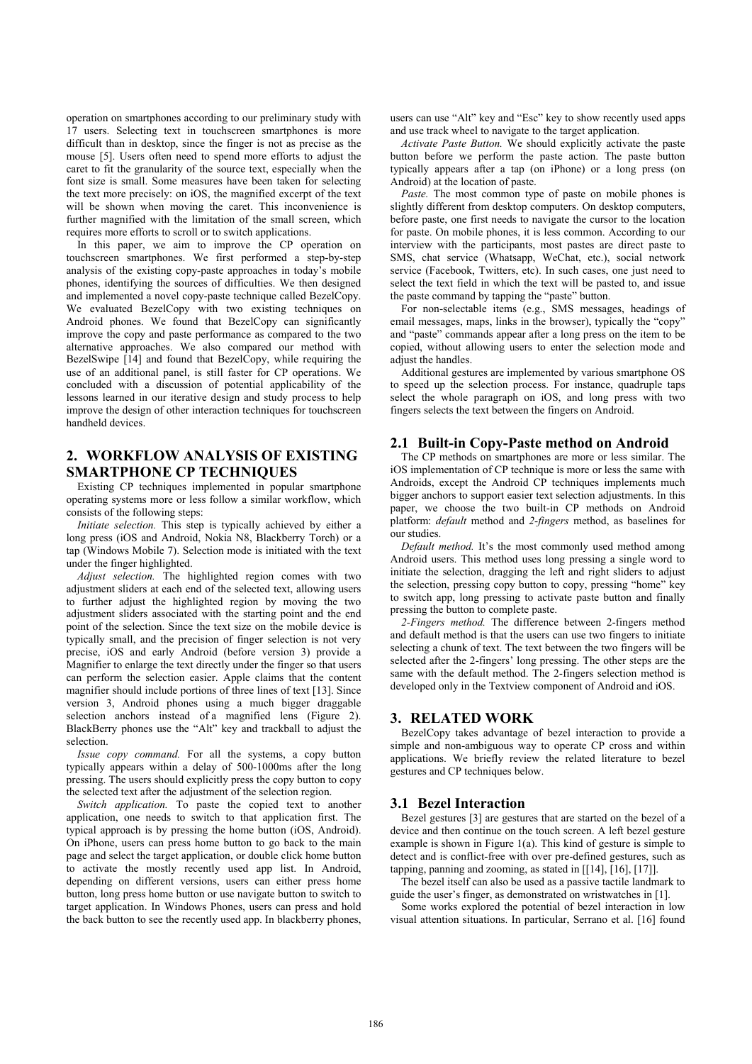operation on smartphones according to our preliminary study with 17 users. Selecting text in touchscreen smartphones is more difficult than in desktop, since the finger is not as precise as the mouse [5]. Users often need to spend more efforts to adjust the caret to fit the granularity of the source text, especially when the font size is small. Some measures have been taken for selecting the text more precisely: on iOS, the magnified excerpt of the text will be shown when moving the caret. This inconvenience is further magnified with the limitation of the small screen, which requires more efforts to scroll or to switch applications.

In this paper, we aim to improve the CP operation on touchscreen smartphones. We first performed a step-by-step analysis of the existing copy-paste approaches in today's mobile phones, identifying the sources of difficulties. We then designed and implemented a novel copy-paste technique called BezelCopy. We evaluated BezelCopy with two existing techniques on Android phones. We found that BezelCopy can significantly improve the copy and paste performance as compared to the two alternative approaches. We also compared our method with BezelSwipe [14] and found that BezelCopy, while requiring the use of an additional panel, is still faster for CP operations. We concluded with a discussion of potential applicability of the lessons learned in our iterative design and study process to help improve the design of other interaction techniques for touchscreen handheld devices.

# **2. WORKFLOW ANALYSIS OF EXISTING SMARTPHONE CP TECHNIQUES**

Existing CP techniques implemented in popular smartphone operating systems more or less follow a similar workflow, which consists of the following steps:

*Initiate selection.* This step is typically achieved by either a long press (iOS and Android, Nokia N8, Blackberry Torch) or a tap (Windows Mobile 7). Selection mode is initiated with the text under the finger highlighted.

*Adjust selection.* The highlighted region comes with two adjustment sliders at each end of the selected text, allowing users to further adjust the highlighted region by moving the two adjustment sliders associated with the starting point and the end point of the selection. Since the text size on the mobile device is typically small, and the precision of finger selection is not very precise, iOS and early Android (before version 3) provide a Magnifier to enlarge the text directly under the finger so that users can perform the selection easier. Apple claims that the content magnifier should include portions of three lines of text [13]. Since version 3, Android phones using a much bigger draggable selection anchors instead of a magnified lens (Figure 2). BlackBerry phones use the "Alt" key and trackball to adjust the selection.

*Issue copy command.* For all the systems, a copy button typically appears within a delay of 500-1000ms after the long pressing. The users should explicitly press the copy button to copy the selected text after the adjustment of the selection region.

*Switch application.* To paste the copied text to another application, one needs to switch to that application first. The typical approach is by pressing the home button (iOS, Android). On iPhone, users can press home button to go back to the main page and select the target application, or double click home button to activate the mostly recently used app list. In Android, depending on different versions, users can either press home button, long press home button or use navigate button to switch to target application. In Windows Phones, users can press and hold the back button to see the recently used app. In blackberry phones,

users can use "Alt" key and "Esc" key to show recently used apps and use track wheel to navigate to the target application.

*Activate Paste Button.* We should explicitly activate the paste button before we perform the paste action. The paste button typically appears after a tap (on iPhone) or a long press (on Android) at the location of paste.

*Paste.* The most common type of paste on mobile phones is slightly different from desktop computers. On desktop computers, before paste, one first needs to navigate the cursor to the location for paste. On mobile phones, it is less common. According to our interview with the participants, most pastes are direct paste to SMS, chat service (Whatsapp, WeChat, etc.), social network service (Facebook, Twitters, etc). In such cases, one just need to select the text field in which the text will be pasted to, and issue the paste command by tapping the "paste" button.

For non-selectable items (e.g., SMS messages, headings of email messages, maps, links in the browser), typically the "copy" and "paste" commands appear after a long press on the item to be copied, without allowing users to enter the selection mode and adjust the handles

Additional gestures are implemented by various smartphone OS to speed up the selection process. For instance, quadruple taps select the whole paragraph on iOS, and long press with two fingers selects the text between the fingers on Android.

## **2.1 Built-in Copy-Paste method on Android**

The CP methods on smartphones are more or less similar. The iOS implementation of CP technique is more or less the same with Androids, except the Android CP techniques implements much bigger anchors to support easier text selection adjustments. In this paper, we choose the two built-in CP methods on Android platform: *default* method and *2-fingers* method, as baselines for our studies.

*Default method.* It's the most commonly used method among Android users. This method uses long pressing a single word to initiate the selection, dragging the left and right sliders to adjust the selection, pressing copy button to copy, pressing "home" key to switch app, long pressing to activate paste button and finally pressing the button to complete paste.

*2-Fingers method.* The difference between 2-fingers method and default method is that the users can use two fingers to initiate selecting a chunk of text. The text between the two fingers will be selected after the 2-fingers' long pressing. The other steps are the same with the default method. The 2-fingers selection method is developed only in the Textview component of Android and iOS.

# **3. RELATED WORK**

BezelCopy takes advantage of bezel interaction to provide a simple and non-ambiguous way to operate CP cross and within applications. We briefly review the related literature to bezel gestures and CP techniques below.

#### **3.1 Bezel Interaction**

Bezel gestures [3] are gestures that are started on the bezel of a device and then continue on the touch screen. A left bezel gesture example is shown in Figure 1(a). This kind of gesture is simple to detect and is conflict-free with over pre-defined gestures, such as tapping, panning and zooming, as stated in [[14], [16], [17]].

The bezel itself can also be used as a passive tactile landmark to guide the user's finger, as demonstrated on wristwatches in [1].

Some works explored the potential of bezel interaction in low visual attention situations. In particular, Serrano et al. [16] found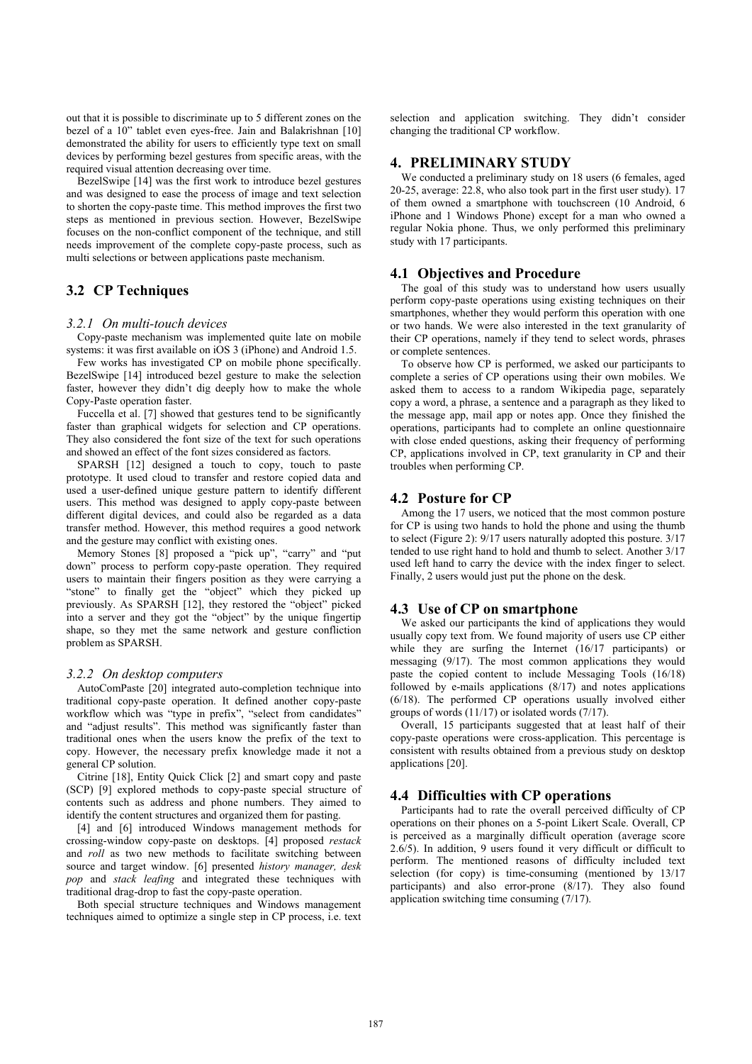out that it is possible to discriminate up to 5 different zones on the bezel of a 10" tablet even eyes-free. Jain and Balakrishnan [10] demonstrated the ability for users to efficiently type text on small devices by performing bezel gestures from specific areas, with the required visual attention decreasing over time.

BezelSwipe [14] was the first work to introduce bezel gestures and was designed to ease the process of image and text selection to shorten the copy-paste time. This method improves the first two steps as mentioned in previous section. However, BezelSwipe focuses on the non-conflict component of the technique, and still needs improvement of the complete copy-paste process, such as multi selections or between applications paste mechanism.

# **3.2 CP Techniques**

## *3.2.1 On multi-touch devices*

Copy-paste mechanism was implemented quite late on mobile systems: it was first available on iOS 3 (iPhone) and Android 1.5.

Few works has investigated CP on mobile phone specifically. BezelSwipe [14] introduced bezel gesture to make the selection faster, however they didn't dig deeply how to make the whole Copy-Paste operation faster.

Fuccella et al. [7] showed that gestures tend to be significantly faster than graphical widgets for selection and CP operations. They also considered the font size of the text for such operations and showed an effect of the font sizes considered as factors.

SPARSH [12] designed a touch to copy, touch to paste prototype. It used cloud to transfer and restore copied data and used a user-defined unique gesture pattern to identify different users. This method was designed to apply copy-paste between different digital devices, and could also be regarded as a data transfer method. However, this method requires a good network and the gesture may conflict with existing ones.

Memory Stones [8] proposed a "pick up", "carry" and "put down" process to perform copy-paste operation. They required users to maintain their fingers position as they were carrying a "stone" to finally get the "object" which they picked up previously. As SPARSH [12], they restored the "object" picked into a server and they got the "object" by the unique fingertip shape, so they met the same network and gesture confliction problem as SPARSH.

#### *3.2.2 On desktop computers*

AutoComPaste [20] integrated auto-completion technique into traditional copy-paste operation. It defined another copy-paste workflow which was "type in prefix", "select from candidates" and "adjust results". This method was significantly faster than traditional ones when the users know the prefix of the text to copy. However, the necessary prefix knowledge made it not a general CP solution.

Citrine [18], Entity Quick Click [2] and smart copy and paste (SCP) [9] explored methods to copy-paste special structure of contents such as address and phone numbers. They aimed to identify the content structures and organized them for pasting.

[4] and [6] introduced Windows management methods for crossing-window copy-paste on desktops. [4] proposed *restack* and *roll* as two new methods to facilitate switching between source and target window. [6] presented *history manager, desk pop* and *stack leafing* and integrated these techniques with traditional drag-drop to fast the copy-paste operation.

Both special structure techniques and Windows management techniques aimed to optimize a single step in CP process, i.e. text selection and application switching. They didn't consider changing the traditional CP workflow.

## **4. PRELIMINARY STUDY**

We conducted a preliminary study on 18 users (6 females, aged 20-25, average: 22.8, who also took part in the first user study). 17 of them owned a smartphone with touchscreen (10 Android, 6 iPhone and 1 Windows Phone) except for a man who owned a regular Nokia phone. Thus, we only performed this preliminary study with 17 participants.

## **4.1 Objectives and Procedure**

The goal of this study was to understand how users usually perform copy-paste operations using existing techniques on their smartphones, whether they would perform this operation with one or two hands. We were also interested in the text granularity of their CP operations, namely if they tend to select words, phrases or complete sentences.

To observe how CP is performed, we asked our participants to complete a series of CP operations using their own mobiles. We asked them to access to a random Wikipedia page, separately copy a word, a phrase, a sentence and a paragraph as they liked to the message app, mail app or notes app. Once they finished the operations, participants had to complete an online questionnaire with close ended questions, asking their frequency of performing CP, applications involved in CP, text granularity in CP and their troubles when performing CP.

# **4.2 Posture for CP**

Among the 17 users, we noticed that the most common posture for CP is using two hands to hold the phone and using the thumb to select (Figure 2): 9/17 users naturally adopted this posture. 3/17 tended to use right hand to hold and thumb to select. Another 3/17 used left hand to carry the device with the index finger to select. Finally, 2 users would just put the phone on the desk.

# **4.3 Use of CP on smartphone**

We asked our participants the kind of applications they would usually copy text from. We found majority of users use CP either while they are surfing the Internet (16/17 participants) or messaging (9/17). The most common applications they would paste the copied content to include Messaging Tools (16/18) followed by e-mails applications (8/17) and notes applications (6/18). The performed CP operations usually involved either groups of words (11/17) or isolated words (7/17).

Overall, 15 participants suggested that at least half of their copy-paste operations were cross-application. This percentage is consistent with results obtained from a previous study on desktop applications [20].

# **4.4 Difficulties with CP operations**

Participants had to rate the overall perceived difficulty of CP operations on their phones on a 5-point Likert Scale. Overall, CP is perceived as a marginally difficult operation (average score 2.6/5). In addition, 9 users found it very difficult or difficult to perform. The mentioned reasons of difficulty included text selection (for copy) is time-consuming (mentioned by 13/17 participants) and also error-prone (8/17). They also found application switching time consuming (7/17).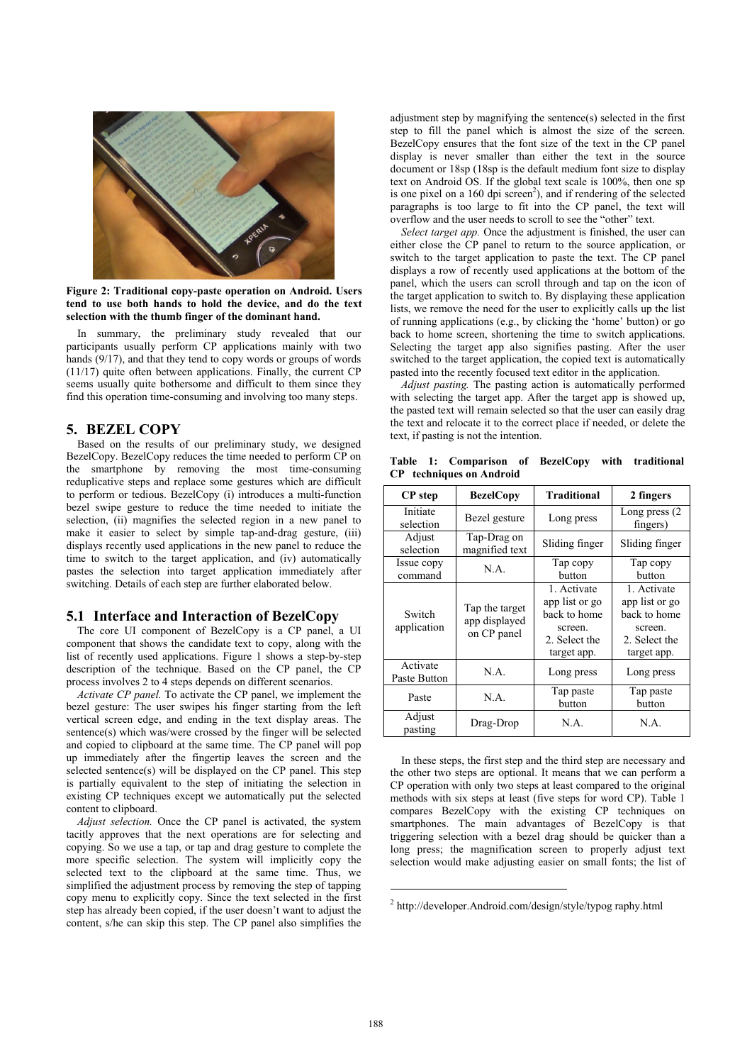

**Figure 2: Traditional copy-paste operation on Android. Users tend to use both hands to hold the device, and do the text selection with the thumb finger of the dominant hand.** 

In summary, the preliminary study revealed that our participants usually perform CP applications mainly with two hands (9/17), and that they tend to copy words or groups of words (11/17) quite often between applications. Finally, the current CP seems usually quite bothersome and difficult to them since they find this operation time-consuming and involving too many steps.

# **5. BEZEL COPY**

Based on the results of our preliminary study, we designed BezelCopy. BezelCopy reduces the time needed to perform CP on the smartphone by removing the most time-consuming reduplicative steps and replace some gestures which are difficult to perform or tedious. BezelCopy (i) introduces a multi-function bezel swipe gesture to reduce the time needed to initiate the selection, (ii) magnifies the selected region in a new panel to make it easier to select by simple tap-and-drag gesture, (iii) displays recently used applications in the new panel to reduce the time to switch to the target application, and (iv) automatically pastes the selection into target application immediately after switching. Details of each step are further elaborated below.

## **5.1 Interface and Interaction of BezelCopy**

The core UI component of BezelCopy is a CP panel, a UI component that shows the candidate text to copy, along with the list of recently used applications. Figure 1 shows a step-by-step description of the technique. Based on the CP panel, the CP process involves 2 to 4 steps depends on different scenarios.

*Activate CP panel.* To activate the CP panel, we implement the bezel gesture: The user swipes his finger starting from the left vertical screen edge, and ending in the text display areas. The sentence(s) which was/were crossed by the finger will be selected and copied to clipboard at the same time. The CP panel will pop up immediately after the fingertip leaves the screen and the selected sentence(s) will be displayed on the CP panel. This step is partially equivalent to the step of initiating the selection in existing CP techniques except we automatically put the selected content to clipboard.

*Adjust selection.* Once the CP panel is activated, the system tacitly approves that the next operations are for selecting and copying. So we use a tap, or tap and drag gesture to complete the more specific selection. The system will implicitly copy the selected text to the clipboard at the same time. Thus, we simplified the adjustment process by removing the step of tapping copy menu to explicitly copy. Since the text selected in the first step has already been copied, if the user doesn't want to adjust the content, s/he can skip this step. The CP panel also simplifies the

adjustment step by magnifying the sentence(s) selected in the first step to fill the panel which is almost the size of the screen. BezelCopy ensures that the font size of the text in the CP panel display is never smaller than either the text in the source document or 18sp (18sp is the default medium font size to display text on Android OS. If the global text scale is 100%, then one sp is one pixel on a  $160$  dpi screen<sup>2</sup>), and if rendering of the selected paragraphs is too large to fit into the CP panel, the text will overflow and the user needs to scroll to see the "other" text.

*Select target app.* Once the adjustment is finished, the user can either close the CP panel to return to the source application, or switch to the target application to paste the text. The CP panel displays a row of recently used applications at the bottom of the panel, which the users can scroll through and tap on the icon of the target application to switch to. By displaying these application lists, we remove the need for the user to explicitly calls up the list of running applications (e.g., by clicking the 'home' button) or go back to home screen, shortening the time to switch applications. Selecting the target app also signifies pasting. After the user switched to the target application, the copied text is automatically pasted into the recently focused text editor in the application.

*Adjust pasting.* The pasting action is automatically performed with selecting the target app. After the target app is showed up, the pasted text will remain selected so that the user can easily drag the text and relocate it to the correct place if needed, or delete the text, if pasting is not the intention.

| <b>CP</b> step        | <b>BezelCopy</b>                               | Traditional    | 2 fingers        |
|-----------------------|------------------------------------------------|----------------|------------------|
| Initiate              | Bezel gesture                                  | Long press     | Long press $(2)$ |
| selection             |                                                |                | fingers)         |
| Adjust                | Tap-Drag on                                    | Sliding finger | Sliding finger   |
| selection             | magnified text                                 |                |                  |
| Issue copy            | N.A.                                           | Tap copy       | Tap copy         |
| command               |                                                | button         | button           |
| Switch<br>application | Tap the target<br>app displayed<br>on CP panel | 1. Activate    | 1. Activate      |
|                       |                                                | app list or go | app list or go   |
|                       |                                                | back to home   | back to home     |
|                       |                                                | screen.        | screen.          |
|                       |                                                | 2. Select the  | 2. Select the    |
|                       |                                                | target app.    | target app.      |
| Activate              | N.A.                                           | Long press     | Long press       |
| Paste Button          |                                                |                |                  |
| Paste                 | N.A.                                           | Tap paste      | Tap paste        |
|                       |                                                | button         | button           |
| Adjust                | Drag-Drop                                      | N.A.           | N.A.             |
| pasting               |                                                |                |                  |

**Table 1: Comparison of BezelCopy with traditional CP techniques on Android**

In these steps, the first step and the third step are necessary and the other two steps are optional. It means that we can perform a CP operation with only two steps at least compared to the original methods with six steps at least (five steps for word CP). Table 1 compares BezelCopy with the existing CP techniques on smartphones. The main advantages of BezelCopy is that triggering selection with a bezel drag should be quicker than a long press; the magnification screen to properly adjust text selection would make adjusting easier on small fonts; the list of

<sup>2</sup> http://developer.Android.com/design/style/typog raphy.html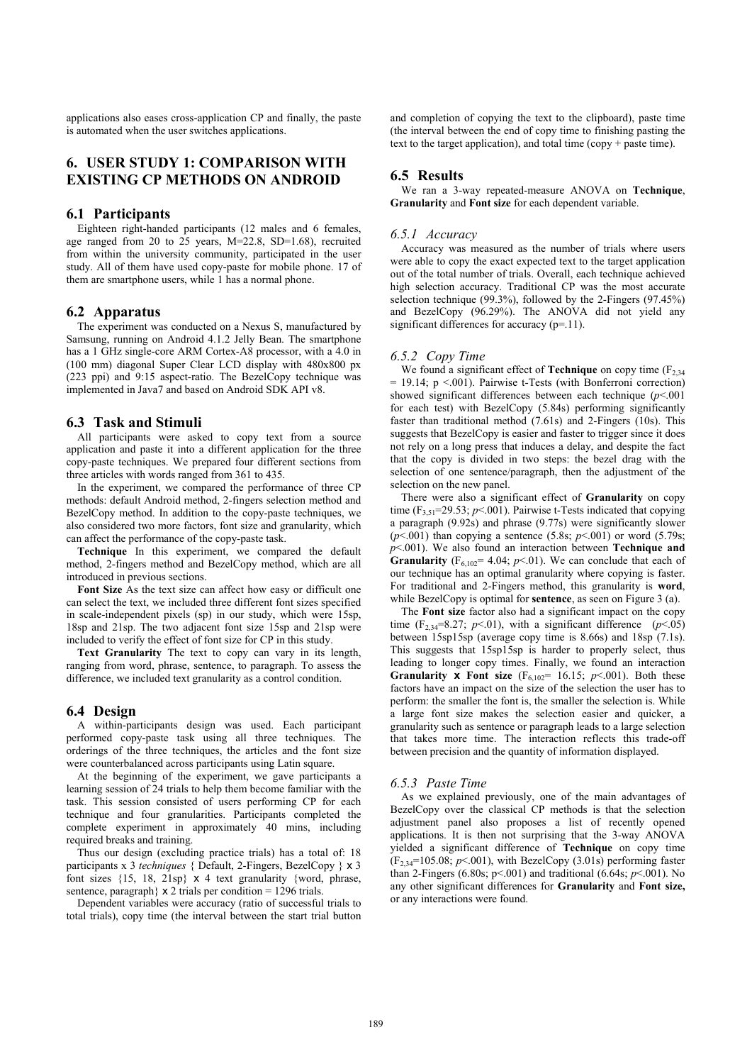applications also eases cross-application CP and finally, the paste is automated when the user switches applications.

# **6. USER STUDY 1: COMPARISON WITH EXISTING CP METHODS ON ANDROID**

## **6.1 Participants**

Eighteen right-handed participants (12 males and 6 females, age ranged from 20 to 25 years, M=22.8, SD=1.68), recruited from within the university community, participated in the user study. All of them have used copy-paste for mobile phone. 17 of them are smartphone users, while 1 has a normal phone.

## **6.2 Apparatus**

The experiment was conducted on a Nexus S, manufactured by Samsung, running on Android 4.1.2 Jelly Bean. The smartphone has a 1 GHz single-core ARM Cortex-A8 processor, with a 4.0 in (100 mm) diagonal Super Clear LCD display with 480x800 px (223 ppi) and 9:15 aspect-ratio. The BezelCopy technique was implemented in Java7 and based on Android SDK API v8.

## **6.3 Task and Stimuli**

All participants were asked to copy text from a source application and paste it into a different application for the three copy-paste techniques. We prepared four different sections from three articles with words ranged from 361 to 435.

In the experiment, we compared the performance of three CP methods: default Android method, 2-fingers selection method and BezelCopy method. In addition to the copy-paste techniques, we also considered two more factors, font size and granularity, which can affect the performance of the copy-paste task.

**Technique** In this experiment, we compared the default method, 2-fingers method and BezelCopy method, which are all introduced in previous sections.

**Font Size** As the text size can affect how easy or difficult one can select the text, we included three different font sizes specified in scale-independent pixels (sp) in our study, which were 15sp, 18sp and 21sp. The two adjacent font size 15sp and 21sp were included to verify the effect of font size for CP in this study.

**Text Granularity** The text to copy can vary in its length, ranging from word, phrase, sentence, to paragraph. To assess the difference, we included text granularity as a control condition.

## **6.4 Design**

A within-participants design was used. Each participant performed copy-paste task using all three techniques. The orderings of the three techniques, the articles and the font size were counterbalanced across participants using Latin square.

At the beginning of the experiment, we gave participants a learning session of 24 trials to help them become familiar with the task. This session consisted of users performing CP for each technique and four granularities. Participants completed the complete experiment in approximately 40 mins, including required breaks and training.

Thus our design (excluding practice trials) has a total of: 18 participants x 3 *techniques* { Default, 2-Fingers, BezelCopy } x 3 font sizes {15, 18, 21sp} x 4 text granularity {word, phrase, sentence, paragraph  $\times$  2 trials per condition = 1296 trials.

Dependent variables were accuracy (ratio of successful trials to total trials), copy time (the interval between the start trial button and completion of copying the text to the clipboard), paste time (the interval between the end of copy time to finishing pasting the text to the target application), and total time (copy + paste time).

## **6.5 Results**

We ran a 3-way repeated-measure ANOVA on **Technique**, **Granularity** and **Font size** for each dependent variable.

#### *6.5.1 Accuracy*

Accuracy was measured as the number of trials where users were able to copy the exact expected text to the target application out of the total number of trials. Overall, each technique achieved high selection accuracy. Traditional CP was the most accurate selection technique (99.3%), followed by the 2-Fingers (97.45%) and BezelCopy (96.29%). The ANOVA did not yield any significant differences for accuracy (p=.11).

#### *6.5.2 Copy Time*

We found a significant effect of **Technique** on copy time  $(F_{2,34})$  $= 19.14$ ; p <.001). Pairwise t-Tests (with Bonferroni correction) showed significant differences between each technique  $(p<.001)$ for each test) with BezelCopy (5.84s) performing significantly faster than traditional method (7.61s) and 2-Fingers (10s). This suggests that BezelCopy is easier and faster to trigger since it does not rely on a long press that induces a delay, and despite the fact that the copy is divided in two steps: the bezel drag with the selection of one sentence/paragraph, then the adjustment of the selection on the new panel.

There were also a significant effect of **Granularity** on copy time  $(F_{3,51}=29.53; p<0.01)$ . Pairwise t-Tests indicated that copying a paragraph (9.92s) and phrase (9.77s) were significantly slower  $(p<.001)$  than copying a sentence (5.8s;  $p<.001$ ) or word (5.79s; *p*<.001). We also found an interaction between **Technique and Granularity** ( $F_{6,102} = 4.04$ ;  $p < 01$ ). We can conclude that each of our technique has an optimal granularity where copying is faster. For traditional and 2-Fingers method, this granularity is **word**, while BezelCopy is optimal for **sentence**, as seen on Figure 3 (a).

The **Font size** factor also had a significant impact on the copy time  $(F_{2,34}=8.27; p<0.01)$ , with a significant difference  $(p<0.05)$ between 15sp15sp (average copy time is 8.66s) and 18sp (7.1s). This suggests that 15sp15sp is harder to properly select, thus leading to longer copy times. Finally, we found an interaction **Granularity <b>x** Font size  $(F_{6,102} = 16.15; p<.001)$ . Both these factors have an impact on the size of the selection the user has to perform: the smaller the font is, the smaller the selection is. While a large font size makes the selection easier and quicker, a granularity such as sentence or paragraph leads to a large selection that takes more time. The interaction reflects this trade-off between precision and the quantity of information displayed.

#### *6.5.3 Paste Time*

As we explained previously, one of the main advantages of BezelCopy over the classical CP methods is that the selection adjustment panel also proposes a list of recently opened applications. It is then not surprising that the 3-way ANOVA yielded a significant difference of **Technique** on copy time  $(F_{2,34}=105.08; p<.001)$ , with BezelCopy (3.01s) performing faster than 2-Fingers (6.80s; p<.001) and traditional (6.64s; *p*<.001). No any other significant differences for **Granularity** and **Font size,**  or any interactions were found.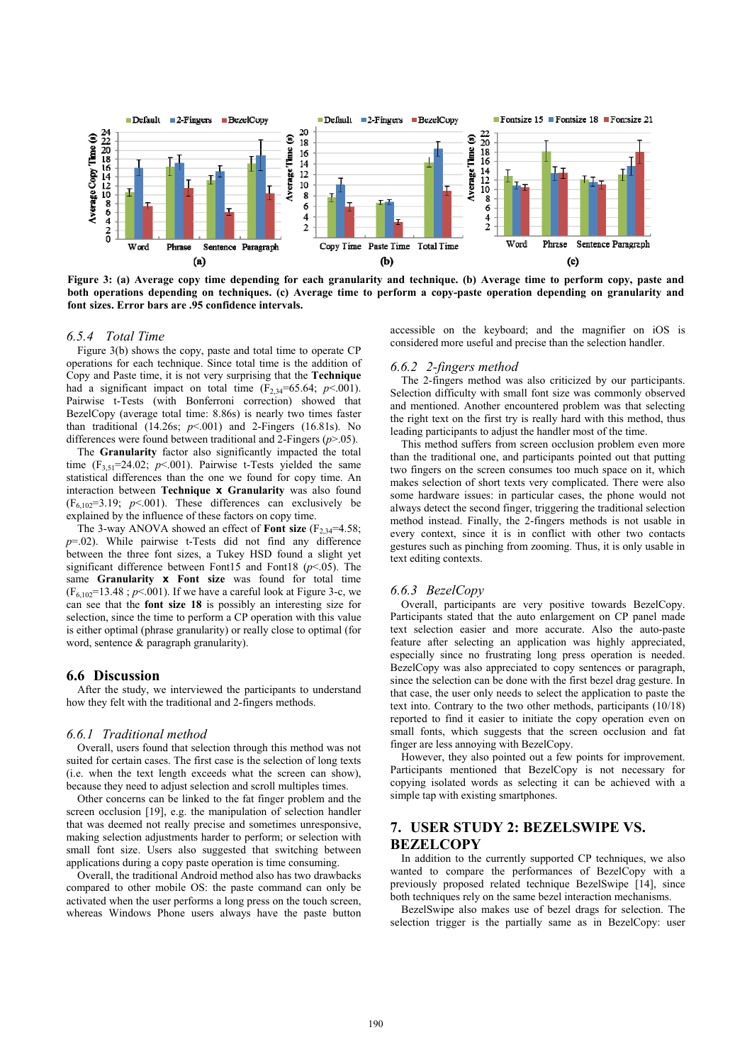

**Figure 3: (a) Average copy time depending for each granularity and technique. (b) Average time to perform copy, paste and both operations depending on techniques. (c) Average time to perform a copy-paste operation depending on granularity and font sizes. Error bars are .95 confidence intervals.** 

#### *6.5.4 Total Time*

Figure 3(b) shows the copy, paste and total time to operate CP operations for each technique. Since total time is the addition of Copy and Paste time, it is not very surprising that the **Technique** had a significant impact on total time  $(F_{2,34}=65.64; p<.001)$ . Pairwise t-Tests (with Bonferroni correction) showed that BezelCopy (average total time: 8.86s) is nearly two times faster than traditional  $(14.26s; p<.001)$  and 2-Fingers  $(16.81s)$ . No differences were found between traditional and 2-Fingers (*p*>.05).

The **Granularity** factor also significantly impacted the total time  $(F_3, 51=24.02; p<0.01)$ . Pairwise t-Tests vielded the same statistical differences than the one we found for copy time. An interaction between **Technique x Granularity** was also found  $(F_{6,102}=3.19; p<.001)$ . These differences can exclusively be explained by the influence of these factors on copy time.

The 3-way ANOVA showed an effect of **Font size**  $(F_{2,34}=4.58;$ *p*=.02). While pairwise t-Tests did not find any difference between the three font sizes, a Tukey HSD found a slight yet significant difference between Font15 and Font18 (*p*<.05). The same **Granularity x Font size** was found for total time  $(F_{6,102}=13.48$ ;  $p<0.01$ ). If we have a careful look at Figure 3-c, we can see that the **font size 18** is possibly an interesting size for selection, since the time to perform a CP operation with this value is either optimal (phrase granularity) or really close to optimal (for word, sentence & paragraph granularity).

#### **6.6 Discussion**

After the study, we interviewed the participants to understand how they felt with the traditional and 2-fingers methods.

#### *6.6.1 Traditional method*

Overall, users found that selection through this method was not suited for certain cases. The first case is the selection of long texts (i.e. when the text length exceeds what the screen can show), because they need to adjust selection and scroll multiples times.

Other concerns can be linked to the fat finger problem and the screen occlusion [19], e.g. the manipulation of selection handler that was deemed not really precise and sometimes unresponsive, making selection adjustments harder to perform; or selection with small font size. Users also suggested that switching between applications during a copy paste operation is time consuming.

Overall, the traditional Android method also has two drawbacks compared to other mobile OS: the paste command can only be activated when the user performs a long press on the touch screen, whereas Windows Phone users always have the paste button accessible on the keyboard; and the magnifier on iOS is considered more useful and precise than the selection handler.

#### *6.6.2 2-fingers method*

The 2-fingers method was also criticized by our participants. Selection difficulty with small font size was commonly observed and mentioned. Another encountered problem was that selecting the right text on the first try is really hard with this method, thus leading participants to adjust the handler most of the time.

This method suffers from screen occlusion problem even more than the traditional one, and participants pointed out that putting two fingers on the screen consumes too much space on it, which makes selection of short texts very complicated. There were also some hardware issues: in particular cases, the phone would not always detect the second finger, triggering the traditional selection method instead. Finally, the 2-fingers methods is not usable in every context, since it is in conflict with other two contacts gestures such as pinching from zooming. Thus, it is only usable in text editing contexts.

#### *6.6.3 BezelCopy*

Overall, participants are very positive towards BezelCopy. Participants stated that the auto enlargement on CP panel made text selection easier and more accurate. Also the auto-paste feature after selecting an application was highly appreciated, especially since no frustrating long press operation is needed. BezelCopy was also appreciated to copy sentences or paragraph, since the selection can be done with the first bezel drag gesture. In that case, the user only needs to select the application to paste the text into. Contrary to the two other methods, participants (10/18) reported to find it easier to initiate the copy operation even on small fonts, which suggests that the screen occlusion and fat finger are less annoying with BezelCopy.

However, they also pointed out a few points for improvement. Participants mentioned that BezelCopy is not necessary for copying isolated words as selecting it can be achieved with a simple tap with existing smartphones.

# **7. USER STUDY 2: BEZELSWIPE VS. BEZELCOPY**

In addition to the currently supported CP techniques, we also wanted to compare the performances of BezelCopy with a previously proposed related technique BezelSwipe [14], since both techniques rely on the same bezel interaction mechanisms.

BezelSwipe also makes use of bezel drags for selection. The selection trigger is the partially same as in BezelCopy: user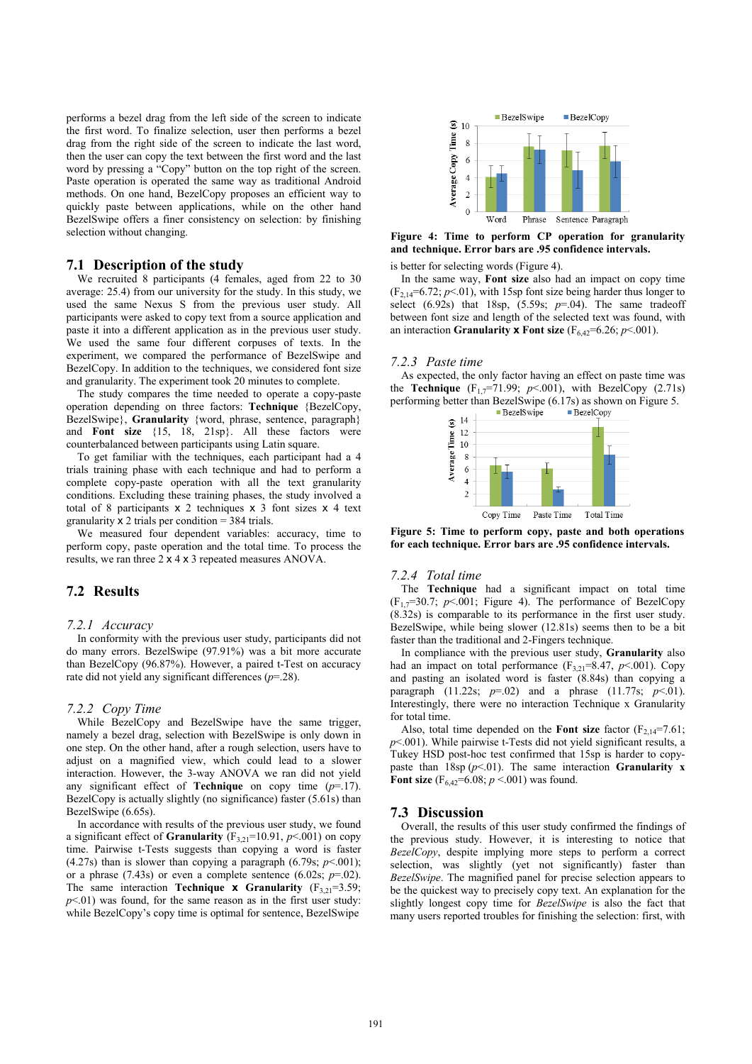performs a bezel drag from the left side of the screen to indicate the first word. To finalize selection, user then performs a bezel drag from the right side of the screen to indicate the last word, then the user can copy the text between the first word and the last word by pressing a "Copy" button on the top right of the screen. Paste operation is operated the same way as traditional Android methods. On one hand, BezelCopy proposes an efficient way to quickly paste between applications, while on the other hand BezelSwipe offers a finer consistency on selection: by finishing selection without changing.

#### **7.1 Description of the study**

We recruited 8 participants (4 females, aged from 22 to 30 average: 25.4) from our university for the study. In this study, we used the same Nexus S from the previous user study. All participants were asked to copy text from a source application and paste it into a different application as in the previous user study. We used the same four different corpuses of texts. In the experiment, we compared the performance of BezelSwipe and BezelCopy. In addition to the techniques, we considered font size and granularity. The experiment took 20 minutes to complete.

The study compares the time needed to operate a copy-paste operation depending on three factors: **Technique** {BezelCopy, BezelSwipe}, **Granularity** {word, phrase, sentence, paragraph} and **Font size** {15, 18, 21sp}. All these factors were counterbalanced between participants using Latin square.

To get familiar with the techniques, each participant had a 4 trials training phase with each technique and had to perform a complete copy-paste operation with all the text granularity conditions. Excluding these training phases, the study involved a total of 8 participants  $x$  2 techniques  $x$  3 font sizes  $x$  4 text granularity x 2 trials per condition = 384 trials.

We measured four dependent variables: accuracy, time to perform copy, paste operation and the total time. To process the results, we ran three 2 x 4 x 3 repeated measures ANOVA.

## **7.2 Results**

#### *7.2.1 Accuracy*

In conformity with the previous user study, participants did not do many errors. BezelSwipe (97.91%) was a bit more accurate than BezelCopy (96.87%). However, a paired t-Test on accuracy rate did not yield any significant differences (*p*=.28).

#### *7.2.2 Copy Time*

While BezelCopy and BezelSwipe have the same trigger, namely a bezel drag, selection with BezelSwipe is only down in one step. On the other hand, after a rough selection, users have to adjust on a magnified view, which could lead to a slower interaction. However, the 3-way ANOVA we ran did not yield any significant effect of **Technique** on copy time  $(p=17)$ . BezelCopy is actually slightly (no significance) faster (5.61s) than BezelSwipe (6.65s).

In accordance with results of the previous user study, we found a significant effect of **Granularity**  $(F_{3,21}=10.91, p<.001)$  on copy time. Pairwise t-Tests suggests than copying a word is faster (4.27s) than is slower than copying a paragraph (6.79s;  $p$ <.001); or a phrase (7.43s) or even a complete sentence (6.02s;  $p=0.02$ ). The same interaction **Technique <b>x** Granularity ( $F_{3,21} = 3.59$ ;  $p<.01$ ) was found, for the same reason as in the first user study: while BezelCopy's copy time is optimal for sentence, BezelSwipe



**Figure 4: Time to perform CP operation for granularity and technique. Error bars are .95 confidence intervals.** 

is better for selecting words (Figure 4).

In the same way, **Font size** also had an impact on copy time  $(F_{2,14}=6.72; p<.01)$ , with 15sp font size being harder thus longer to select  $(6.92s)$  that 18sp,  $(5.59s; p=0.04)$ . The same tradeoff between font size and length of the selected text was found, with an interaction **Granularity <b>x** Font size  $(F_{6,42} = 6.26; p < .001)$ .

#### *7.2.3 Paste time*

As expected, the only factor having an effect on paste time was the **Technique** (F<sub>1,7</sub>=71.99;  $p$ <.001), with BezelCopy (2.71s) performing better than BezelSwipe (6.17s) as shown on Figure 5.



**Figure 5: Time to perform copy, paste and both operations for each technique. Error bars are .95 confidence intervals.** 

## *7.2.4 Total time*

The **Technique** had a significant impact on total time  $(F_1, -30.7; p<.001;$  Figure 4). The performance of BezelCopy (8.32s) is comparable to its performance in the first user study. BezelSwipe, while being slower (12.81s) seems then to be a bit faster than the traditional and 2-Fingers technique.

In compliance with the previous user study, **Granularity** also had an impact on total performance  $(F_{3,21}=8.47, p<.001)$ . Copy and pasting an isolated word is faster (8.84s) than copying a paragraph (11.22s;  $p=0.02$ ) and a phrase (11.77s;  $p<.01$ ). Interestingly, there were no interaction Technique x Granularity for total time.

Also, total time depended on the **Font size** factor  $(F_{2,14}=7.61;$  $p<.001$ ). While pairwise t-Tests did not yield significant results, a Tukey HSD post-hoc test confirmed that 15sp is harder to copypaste than  $18sp (p<.01)$ . The same interaction **Granularity x Font size** ( $F_{6,42} = 6.08$ ;  $p < .001$ ) was found.

#### **7.3 Discussion**

Overall, the results of this user study confirmed the findings of the previous study. However, it is interesting to notice that *BezelCopy*, despite implying more steps to perform a correct selection, was slightly (yet not significantly) faster than *BezelSwipe*. The magnified panel for precise selection appears to be the quickest way to precisely copy text. An explanation for the slightly longest copy time for *BezelSwipe* is also the fact that many users reported troubles for finishing the selection: first, with